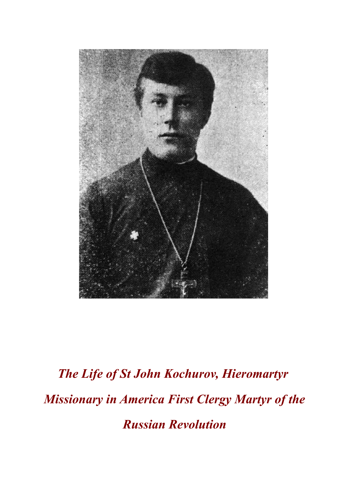

## *The Life of St John Kochurov, Hieromartyr Missionary in America First Clergy Martyr of the Russian Revolution*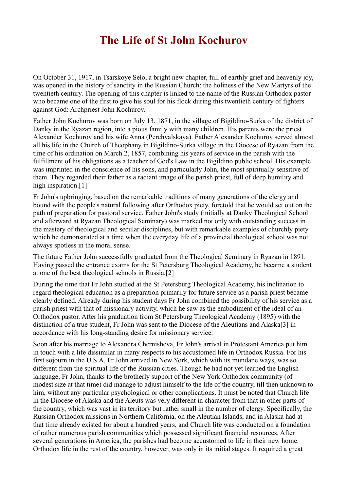## **The Life of St John Kochurov**

On October 31, 1917, in Tsarskoye Selo, a bright new chapter, full of earthly grief and heavenly joy, was opened in the history of sanctity in the Russian Church: the holiness of the New Martyrs of the twentieth century. The opening of this chapter is linked to the name of the Russian Orthodox pastor who became one of the first to give his soul for his flock during this twentieth century of fighters against God: Archpriest John Kochurov.

Father John Kochurov was born on July 13, 1871, in the village of Bigildino-Surka of the district of Danky in the Ryazan region, into a pious family with many children. His parents were the priest Alexander Kochurov and his wife Anna (Perehvalskaya). Father Alexander Kochurov served almost all his life in the Church of Theophany in Bigildino-Surka village in the Diocese of Ryazan from the time of his ordination on March 2, 1857, combining his years of service in the parish with the fulfillment of his obligations as a teacher of God's Law in the Bigildino public school. His example was imprinted in the conscience of his sons, and particularly John, the most spiritually sensitive of them. They regarded their father as a radiant image of the parish priest, full of deep humility and high inspiration.<sup>[1]</sup>

Fr John's upbringing, based on the remarkable traditions of many generations of the clergy and bound with the people's natural following after Orthodox piety, foretold that he would set out on the path of preparation for pastoral service. Father John's study (initially at Danky Theological School and afterward at Ryazan Theological Seminary) was marked not only with outstanding success in the mastery of theological and secular disciplines, but with remarkable examples of churchly piety which he demonstrated at a time when the everyday life of a provincial theological school was not always spotless in the moral sense.

The future Father John successfully graduated from the Theological Seminary in Ryazan in 1891. Having passed the entrance exams for the St Petersburg Theological Academy, he became a student at one of the best theological schools in Russia.[2]

During the time that Fr John studied at the St Petersburg Theological Academy, his inclination to regard theological education as a preparation primarily for future service as a parish priest became clearly defined. Already during his student days Fr John combined the possibility of his service as a parish priest with that of missionary activity, which he saw as the embodiment of the ideal of an Orthodox pastor. After his graduation from St Petersburg Theological Academy (1895) with the distinction of a true student, Fr John was sent to the Diocese of the Aleutians and Alaska[3] in accordance with his long-standing desire for missionary service.

Soon after his marriage to Alexandra Chernisheva, Fr John's arrival in Protestant America put him in touch with a life dissimilar in many respects to his accustomed life in Orthodox Russia. For his first sojourn in the U.S.A. Fr John arrived in New York, which with its mundane ways, was so different from the spiritual life of the Russian cities. Though he had not yet learned the English language, Fr John, thanks to the brotherly support of the New York Orthodox community (of modest size at that time) did manage to adjust himself to the life of the country, till then unknown to him, without any particular psychological or other complications. It must be noted that Church life in the Diocese of Alaska and the Aleuts was very different in character from that in other parts of the country, which was vast in its territory but rather small in the number of clergy. Specifically, the Russian Orthodox missions in Northern California, on the Aleutian Islands, and in Alaska had at that time already existed for about a hundred years, and Church life was conducted on a foundation of rather numerous parish communities which possessed significant financial resources. After several generations in America, the parishes had become accustomed to life in their new home. Orthodox life in the rest of the country, however, was only in its initial stages. It required a great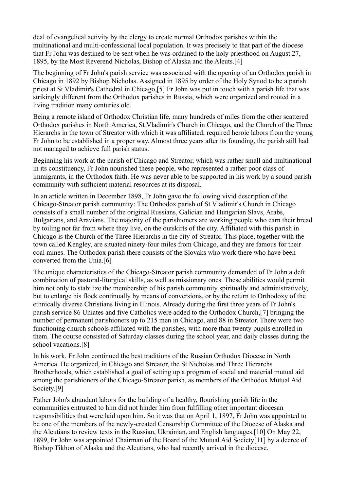deal of evangelical activity by the clergy to create normal Orthodox parishes within the multinational and multi-confessional local population. It was precisely to that part of the diocese that Fr John was destined to be sent when he was ordained to the holy priesthood on August 27, 1895, by the Most Reverend Nicholas, Bishop of Alaska and the Aleuts.[4]

The beginning of Fr John's parish service was associated with the opening of an Orthodox parish in Chicago in 1892 by Bishop Nicholas. Assigned in 1895 by order of the Holy Synod to be a parish priest at St Vladimir's Cathedral in Chicago,[5] Fr John was put in touch with a parish life that was strikingly different from the Orthodox parishes in Russia, which were organized and rooted in a living tradition many centuries old.

Being a remote island of Orthodox Christian life, many hundreds of miles from the other scattered Orthodox parishes in North America, St Vladimir's Church in Chicago, and the Church of the Three Hierarchs in the town of Streator with which it was affiliated, required heroic labors from the young Fr John to be established in a proper way. Almost three years after its founding, the parish still had not managed to achieve full parish status.

Beginning his work at the parish of Chicago and Streator, which was rather small and multinational in its constituency, Fr John nourished these people, who represented a rather poor class of immigrants, in the Orthodox faith. He was never able to be supported in his work by a sound parish community with sufficient material resources at its disposal.

In an article written in December 1898, Fr John gave the following vivid description of the Chicago-Streator parish community: The Orthodox parish of St Vladimir's Church in Chicago consists of a small number of the original Russians, Galician and Hungarian Slavs, Arabs, Bulgarians, and Aravians. The majority of the parishioners are working people who earn their bread by toiling not far from where they live, on the outskirts of the city. Affiliated with this parish in Chicago is the Church of the Three Hierarchs in the city of Streator. This place, together with the town called Kengley, are situated ninety-four miles from Chicago, and they are famous for their coal mines. The Orthodox parish there consists of the Slovaks who work there who have been converted from the Unia.[6]

The unique characteristics of the Chicago-Streator parish community demanded of Fr John a deft combination of pastoral-liturgical skills, as well as missionary ones. These abilities would permit him not only to stabilize the membership of his parish community spiritually and administratively, but to enlarge his flock continually by means of conversions, or by the return to Orthodoxy of the ethnically diverse Christians living in Illinois. Already during the first three years of Fr John's parish service 86 Uniates and five Catholics were added to the Orthodox Church,[7] bringing the number of permanent parishioners up to 215 men in Chicago, and 88 in Streator. There were two functioning church schools affiliated with the parishes, with more than twenty pupils enrolled in them. The course consisted of Saturday classes during the school year, and daily classes during the school vacations.[8]

In his work, Fr John continued the best traditions of the Russian Orthodox Diocese in North America. He organized, in Chicago and Streator, the St Nicholas and Three Hierarchs Brotherhoods, which established a goal of setting up a program of social and material mutual aid among the parishioners of the Chicago-Streator parish, as members of the Orthodox Mutual Aid Society.<sup>[9]</sup>

Father John's abundant labors for the building of a healthy, flourishing parish life in the communities entrusted to him did not hinder him from fulfilling other important diocesan responsibilities that were laid upon him. So it was that on April 1, 1897, Fr John was appointed to be one of the members of the newly-created Censorship Committee of the Diocese of Alaska and the Aleutians to review texts in the Russian, Ukrainian, and English languages.[10] On May 22, 1899, Fr John was appointed Chairman of the Board of the Mutual Aid Society[11] by a decree of Bishop Tikhon of Alaska and the Aleutians, who had recently arrived in the diocese.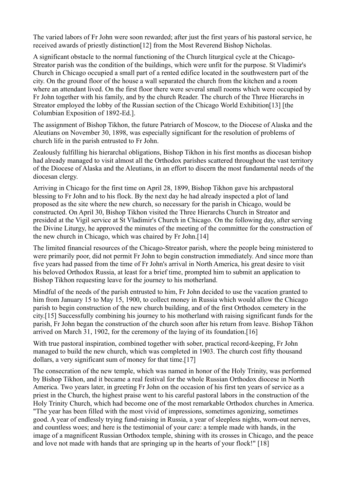The varied labors of Fr John were soon rewarded; after just the first years of his pastoral service, he received awards of priestly distinction[12] from the Most Reverend Bishop Nicholas.

A significant obstacle to the normal functioning of the Church liturgical cycle at the Chicago-Streator parish was the condition of the buildings, which were unfit for the purpose. St Vladimir's Church in Chicago occupied a small part of a rented edifice located in the southwestern part of the city. On the ground floor of the house a wall separated the church from the kitchen and a room where an attendant lived. On the first floor there were several small rooms which were occupied by Fr John together with his family, and by the church Reader. The church of the Three Hierarchs in Streator employed the lobby of the Russian section of the Chicago World Exhibition[13] [the Columbian Exposition of 1892-Ed.].

The assignment of Bishop Tikhon, the future Patriarch of Moscow, to the Diocese of Alaska and the Aleutians on November 30, 1898, was especially significant for the resolution of problems of church life in the parish entrusted to Fr John.

Zealously fulfilling his hierarchal obligations, Bishop Tikhon in his first months as diocesan bishop had already managed to visit almost all the Orthodox parishes scattered throughout the vast territory of the Diocese of Alaska and the Aleutians, in an effort to discern the most fundamental needs of the diocesan clergy.

Arriving in Chicago for the first time on April 28, 1899, Bishop Tikhon gave his archpastoral blessing to Fr John and to his flock. By the next day he had already inspected a plot of land proposed as the site where the new church, so necessary for the parish in Chicago, would be constructed. On April 30, Bishop Tikhon visited the Three Hierarchs Church in Streator and presided at the Vigil service at St Vladimir's Church in Chicago. On the following day, after serving the Divine Liturgy, he approved the minutes of the meeting of the committee for the construction of the new church in Chicago, which was chaired by Fr John.[14]

The limited financial resources of the Chicago-Streator parish, where the people being ministered to were primarily poor, did not permit Fr John to begin construction immediately. And since more than five years had passed from the time of Fr John's arrival in North America, his great desire to visit his beloved Orthodox Russia, at least for a brief time, prompted him to submit an application to Bishop Tikhon requesting leave for the journey to his motherland.

Mindful of the needs of the parish entrusted to him, Fr John decided to use the vacation granted to him from January 15 to May 15, 1900, to collect money in Russia which would allow the Chicago parish to begin construction of the new church building, and of the first Orthodox cemetery in the city.[15] Successfully combining his journey to his motherland with raising significant funds for the parish, Fr John began the construction of the church soon after his return from leave. Bishop Tikhon arrived on March 31, 1902, for the ceremony of the laying of its foundation.[16]

With true pastoral inspiration, combined together with sober, practical record-keeping, Fr John managed to build the new church, which was completed in 1903. The church cost fifty thousand dollars, a very significant sum of money for that time.<sup>[17]</sup>

The consecration of the new temple, which was named in honor of the Holy Trinity, was performed by Bishop Tikhon, and it became a real festival for the whole Russian Orthodox diocese in North America. Two years later, in greeting Fr John on the occasion of his first ten years of service as a priest in the Church, the highest praise went to his careful pastoral labors in the construction of the Holy Trinity Church, which had become one of the most remarkable Orthodox churches in America. "The year has been filled with the most vivid of impressions, sometimes agonizing, sometimes good. A year of endlessly trying fund-raising in Russia, a year of sleepless nights, worn-out nerves, and countless woes; and here is the testimonial of your care: a temple made with hands, in the image of a magnificent Russian Orthodox temple, shining with its crosses in Chicago, and the peace and love not made with hands that are springing up in the hearts of your flock!" [18]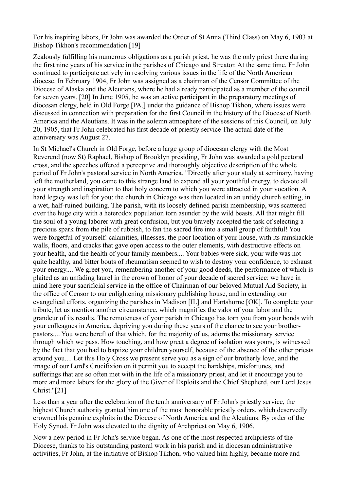For his inspiring labors, Fr John was awarded the Order of St Anna (Third Class) on May 6, 1903 at Bishop Tikhon's recommendation.[19]

Zealously fulfilling his numerous obligations as a parish priest, he was the only priest there during the first nine years of his service in the parishes of Chicago and Streator. At the same time, Fr John continued to participate actively in resolving various issues in the life of the North American diocese. In February 1904, Fr John was assigned as a chairman of the Censor Committee of the Diocese of Alaska and the Aleutians, where he had already participated as a member of the council for seven years. [20] In June 1905, he was an active participant in the preparatory meetings of diocesan clergy, held in Old Forge [PA.] under the guidance of Bishop Tikhon, where issues were discussed in connection with preparation for the first Council in the history of the Diocese of North America and the Aleutians. It was in the solemn atmosphere of the sessions of this Council, on July 20, 1905, that Fr John celebrated his first decade of priestly service The actual date of the anniversary was August 27.

In St Michael's Church in Old Forge, before a large group of diocesan clergy with the Most Reverend (now St) Raphael, Bishop of Brooklyn presiding, Fr John was awarded a gold pectoral cross, and the speeches offered a perceptive and thoroughly objective description of the whole period of Fr John's pastoral service in North America. "Directly after your study at seminary, having left the motherland, you came to this strange land to expend all your youthful energy, to devote all your strength and inspiration to that holy concern to which you were attracted in your vocation. A hard legacy was left for you: the church in Chicago was then located in an untidy church setting, in a wet, half-ruined building. The parish, with its loosely defined parish membership, was scattered over the huge city with a heterodox population torn asunder by the wild beasts. All that might fill the soul of a young laborer with great confusion, but you bravely accepted the task of selecting a precious spark from the pile of rubbish, to fan the sacred fire into a small group of faithful! You were forgetful of yourself: calamities, illnesses, the poor location of your house, with its ramshackle walls, floors, and cracks that gave open access to the outer elements, with destructive effects on your health, and the health of your family members.... Your babies were sick, your wife was not quite healthy, and bitter bouts of rheumatism seemed to wish to destroy your confidence, to exhaust your energy.... We greet you, remembering another of your good deeds, the performance of which is plaited as an unfading laurel in the crown of honor of your decade of sacred service: we have in mind here your sacrificial service in the office of Chairman of our beloved Mutual Aid Society, in the office of Censor to our enlightening missionary publishing house, and in extending our evangelical efforts, organizing the parishes in Madison [IL] and Hartshorne [OK]. To complete your tribute, let us mention another circumstance, which magnifies the valor of your labor and the grandeur of its results. The remoteness of your parish in Chicago has torn you from your bonds with your colleagues in America, depriving you during these years of the chance to see your brotherpastors.... You were bereft of that which, for the majority of us, adorns the missionary service through which we pass. How touching, and how great a degree of isolation was yours, is witnessed by the fact that you had to baptize your children yourself, because of the absence of the other priests around you.... Let this Holy Cross we present serve you as a sign of our brotherly love, and the image of our Lord's Crucifixion on it permit you to accept the hardships, misfortunes, and sufferings that are so often met with in the life of a missionary priest, and let it encourage you to more and more labors for the glory of the Giver of Exploits and the Chief Shepherd, our Lord Jesus Christ."[21]

Less than a year after the celebration of the tenth anniversary of Fr John's priestly service, the highest Church authority granted him one of the most honorable priestly orders, which deservedly crowned his genuine exploits in the Diocese of North America and the Aleutians. By order of the Holy Synod, Fr John was elevated to the dignity of Archpriest on May 6, 1906.

Now a new period in Fr John's service began. As one of the most respected archpriests of the Diocese, thanks to his outstanding pastoral work in his parish and in diocesan administrative activities, Fr John, at the initiative of Bishop Tikhon, who valued him highly, became more and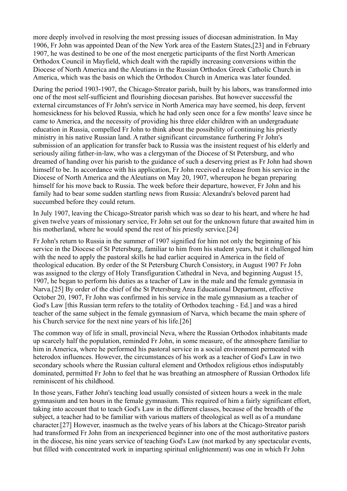more deeply involved in resolving the most pressing issues of diocesan administration. In May 1906, Fr John was appointed Dean of the New York area of the Eastern States,[23] and in February 1907, he was destined to be one of the most energetic participants of the first North American Orthodox Council in Mayfield, which dealt with the rapidly increasing conversions within the Diocese of North America and the Aleutians in the Russian Orthodox Greek Catholic Church in America, which was the basis on which the Orthodox Church in America was later founded.

During the period 1903-1907, the Chicago-Streator parish, built by his labors, was transformed into one of the most self-sufficient and flourishing diocesan parishes. But however successful the external circumstances of Fr John's service in North America may have seemed, his deep, fervent homesickness for his beloved Russia, which he had only seen once for a few months' leave since he came to America, and the necessity of providing his three elder children with an undergraduate education in Russia, compelled Fr John to think about the possibility of continuing his priestly ministry in his native Russian land. A rather significant circumstance furthering Fr John's submission of an application for transfer back to Russia was the insistent request of his elderly and seriously ailing father-in-law, who was a clergyman of the Diocese of St Petersburg, and who dreamed of handing over his parish to the guidance of such a deserving priest as Fr John had shown himself to be. In accordance with his application, Fr John received a release from his service in the Diocese of North America and the Aleutians on May 20, 1907, whereupon he began preparing himself for his move back to Russia. The week before their departure, however, Fr John and his family had to bear some sudden startling news from Russia: Alexandra's beloved parent had succumbed before they could return.

In July 1907, leaving the Chicago-Streator parish which was so dear to his heart, and where he had given twelve years of missionary service, Fr John set out for the unknown future that awaited him in his motherland, where he would spend the rest of his priestly service.[24]

Fr John's return to Russia in the summer of 1907 signified for him not only the beginning of his service in the Diocese of St Petersburg, familiar to him from his student years, but it challenged him with the need to apply the pastoral skills he had earlier acquired in America in the field of theological education. By order of the St Petersburg Church Consistory, in August 1907 Fr John was assigned to the clergy of Holy Transfiguration Cathedral in Neva, and beginning August 15, 1907, he began to perform his duties as a teacher of Law in the male and the female gymnasia in Narva.[25] By order of the chief of the St Petersburg Area Educational Department, effective October 20, 1907, Fr John was confirmed in his service in the male gymnasium as a teacher of God's Law [this Russian term refers to the totality of Orthodox teaching - Ed.] and was a hired teacher of the same subject in the female gymnasium of Narva, which became the main sphere of his Church service for the next nine years of his life.[26]

The common way of life in small, provincial Neva, where the Russian Orthodox inhabitants made up scarcely half the population, reminded Fr John, in some measure, of the atmosphere familiar to him in America, where he performed his pastoral service in a social environment permeated with heterodox influences. However, the circumstances of his work as a teacher of God's Law in two secondary schools where the Russian cultural element and Orthodox religious ethos indisputably dominated, permitted Fr John to feel that he was breathing an atmosphere of Russian Orthodox life reminiscent of his childhood.

In those years, Father John's teaching load usually consisted of sixteen hours a week in the male gymnasium and ten hours in the female gymnasium. This required of him a fairly significant effort, taking into account that to teach God's Law in the different classes, because of the breadth of the subject, a teacher had to be familiar with various matters of theological as well as of a mundane character.[27] However, inasmuch as the twelve years of his labors at the Chicago-Streator parish had transformed Fr John from an inexperienced beginner into one of the most authoritative pastors in the diocese, his nine years service of teaching God's Law (not marked by any spectacular events, but filled with concentrated work in imparting spiritual enlightenment) was one in which Fr John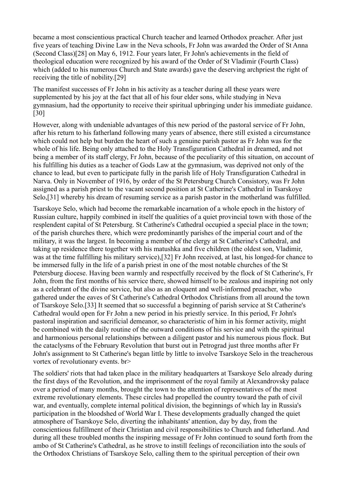became a most conscientious practical Church teacher and learned Orthodox preacher. After just five years of teaching Divine Law in the Neva schools, Fr John was awarded the Order of St Anna (Second Class)[28] on May 6, 1912. Four years later, Fr John's achievements in the field of theological education were recognized by his award of the Order of St Vladimir (Fourth Class) which (added to his numerous Church and State awards) gave the deserving archpriest the right of receiving the title of nobility.[29]

The manifest successes of Fr John in his activity as a teacher during all these years were supplemented by his joy at the fact that all of his four elder sons, while studying in Neva gymnasium, had the opportunity to receive their spiritual upbringing under his immediate guidance. [30]

However, along with undeniable advantages of this new period of the pastoral service of Fr John, after his return to his fatherland following many years of absence, there still existed a circumstance which could not help but burden the heart of such a genuine parish pastor as Fr John was for the whole of his life. Being only attached to the Holy Transfiguration Cathedral in dreamed, and not being a member of its staff clergy, Fr John, because of the peculiarity of this situation, on account of his fulfilling his duties as a teacher of Gods Law at the gymnasium, was deprived not only of the chance to lead, but even to participate fully in the parish life of Holy Transfiguration Cathedral in Narva. Only in November of 1916, by order of the St Petersburg Church Consistory, was Fr John assigned as a parish priest to the vacant second position at St Catherine's Cathedral in Tsarskoye Selo,[31] whereby his dream of resuming service as a parish pastor in the motherland was fulfilled.

Tsarskoye Selo, which had become the remarkable incarnation of a whole epoch in the history of Russian culture, happily combined in itself the qualities of a quiet provincial town with those of the resplendent capital of St Petersburg. St Catherine's Cathedral occupied a special place in the town; of the parish churches there, which were predominantly parishes of the imperial court and of the military, it was the largest. In becoming a member of the clergy at St Catherine's Cathedral, and taking up residence there together with his matushka and five children (the oldest son, Vladimir, was at the time fulfilling his military service),[32] Fr John received, at last, his longed-for chance to be immersed fully in the life of a parish priest in one of the most notable churches of the St Petersburg diocese. Having been warmly and respectfully received by the flock of St Catherine's, Fr John, from the first months of his service there, showed himself to be zealous and inspiring not only as a celebrant of the divine service, but also as an eloquent and well-informed preacher, who gathered under the eaves of St Catherine's Cathedral Orthodox Christians from all around the town of Tsarskoye Selo.[33] It seemed that so successful a beginning of parish service at St Catherine's Cathedral would open for Fr John a new period in his priestly service. In this period, Fr John's pastoral inspiration and sacrificial demeanor, so characteristic of him in his former activity, might be combined with the daily routine of the outward conditions of his service and with the spiritual and harmonious personal relationships between a diligent pastor and his numerous pious flock. But the cataclysms of the February Revolution that burst out in Petrograd just three months after Fr John's assignment to St Catherine's began little by little to involve Tsarskoye Selo in the treacherous vortex of revolutionary events. br>

The soldiers' riots that had taken place in the military headquarters at Tsarskoye Selo already during the first days of the Revolution, and the imprisonment of the royal family at Alexandrovsky palace over a period of many months, brought the town to the attention of representatives of the most extreme revolutionary elements. These circles had propelled the country toward the path of civil war, and eventually, complete internal political division, the beginnings of which lay in Russia's participation in the bloodshed of World War I. These developments gradually changed the quiet atmosphere of Tsarskoye Selo, diverting the inhabitants' attention, day by day, from the conscientious fulfillment of their Christian and civil responsibilities to Church and fatherland. And during all these troubled months the inspiring message of Fr John continued to sound forth from the ambo of St Catherine's Cathedral, as he strove to instill feelings of reconciliation into the souls of the Orthodox Christians of Tsarskoye Selo, calling them to the spiritual perception of their own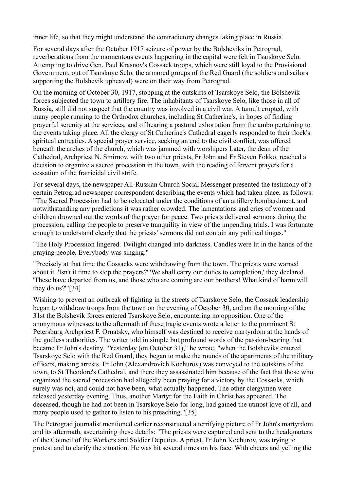inner life, so that they might understand the contradictory changes taking place in Russia.

For several days after the October 1917 seizure of power by the Bolsheviks in Petrograd, reverberations from the momentous events happening in the capital were felt in Tsarskoye Selo. Attempting to drive Gen. Paul Krasnov's Cossack troops, which were still loyal to the Provisional Government, out of Tsarskoye Selo, the armored groups of the Red Guard (the soldiers and sailors supporting the Bolshevik upheaval) were on their way from Petrograd.

On the morning of October 30, 1917, stopping at the outskirts of Tsarskoye Selo, the Bolshevik forces subjected the town to artillery fire. The inhabitants of Tsarskoye Selo, like those in all of Russia, still did not suspect that the country was involved in a civil war. A tumult erupted, with many people running to the Orthodox churches, including St Catherine's, in hopes of finding prayerful serenity at the services, and of hearing a pastoral exhortation from the ambo pertaining to the events taking place. All the clergy of St Catherine's Cathedral eagerly responded to their flock's spiritual entreaties. A special prayer service, seeking an end to the civil conflict, was offered beneath the arches of the church, which was jammed with worshipers Later, the dean of the Cathedral, Archpriest N. Smirnov, with two other priests, Fr John and Fr Steven Fokko, reached a decision to organize a sacred procession in the town, with the reading of fervent prayers for a cessation of the fratricidal civil strife.

For several days, the newspaper All-Russian Church Social Messenger presented the testimony of a certain Petrograd newspaper correspondent describing the events which had taken place, as follows: "The Sacred Procession had to be relocated under the conditions of an artillery bombardment, and notwithstanding any predictions it was rather crowded. The lamentations and cries of women and children drowned out the words of the prayer for peace. Two priests delivered sermons during the procession, calling the people to preserve tranquility in view of the impending trials. I was fortunate enough to understand clearly that the priests' sermons did not contain any political tinges."

"The Holy Procession lingered. Twilight changed into darkness. Candles were lit in the hands of the praying people. Everybody was singing."

"Precisely at that time the Cossacks were withdrawing from the town. The priests were warned about it. 'Isn't it time to stop the prayers?' 'We shall carry our duties to completion,' they declared. 'These have departed from us, and those who are coming are our brothers! What kind of harm will they do us?'"[34]

Wishing to prevent an outbreak of fighting in the streets of Tsarskoye Selo, the Cossack leadership began to withdraw troops from the town on the evening of October 30, and on the morning of the 31st the Bolshevik forces entered Tsarskoye Selo, encountering no opposition. One of the anonymous witnesses to the aftermath of these tragic events wrote a letter to the prominent St Petersburg Archpriest F. Ornatsky, who himself was destined to receive martyrdom at the hands of the godless authorities. The writer told in simple but profound words of the passion-bearing that became Fr John's destiny. "Yesterday (on October 31)," he wrote, "when the Bolsheviks entered Tsarskoye Selo with the Red Guard, they began to make the rounds of the apartments of the military officers, making arrests. Fr John (Alexandrovich Kochurov) was conveyed to the outskirts of the town, to St Theodore's Cathedral, and there they assassinated him because of the fact that those who organized the sacred procession had allegedly been praying for a victory by the Cossacks, which surely was not, and could not have been, what actually happened. The other clergymen were released yesterday evening. Thus, another Martyr for the Faith in Christ has appeared. The deceased, though he had not been in Tsarskoye Selo for long, had gained the utmost love of all, and many people used to gather to listen to his preaching."[35]

The Petrograd journalist mentioned earlier reconstructed a terrifying picture of Fr John's martyrdom and its aftermath, ascertaining these details: "The priests were captured and sent to the headquarters of the Council of the Workers and Soldier Deputies. A priest, Fr John Kochurov, was trying to protest and to clarify the situation. He was hit several times on his face. With cheers and yelling the